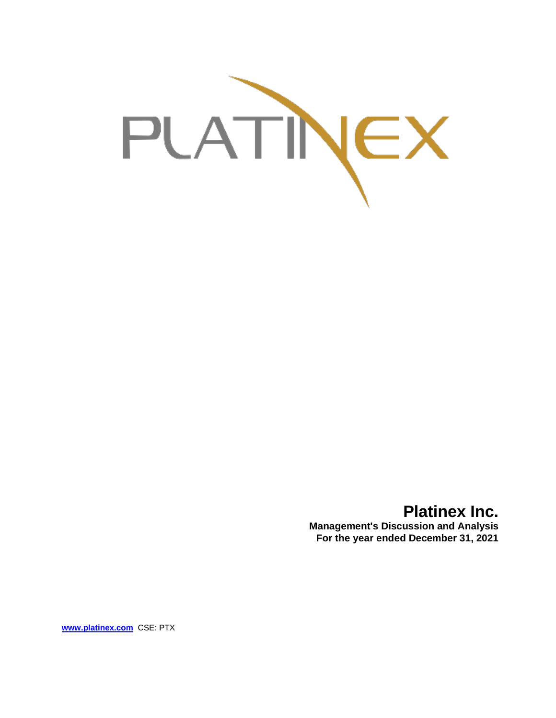

**Platinex Inc.**

**Management's Discussion and Analysis For the year ended December 31, 2021**

**[www.platinex.com](http://www.platinex.com/)** CSE: PTX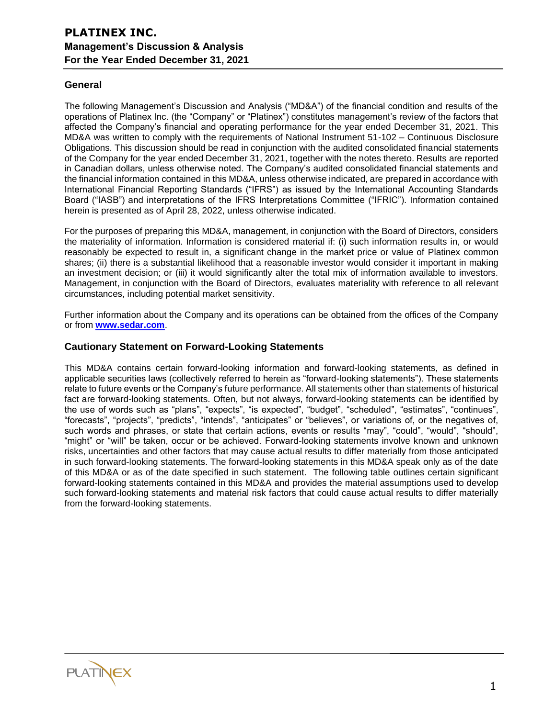## **General**

The following Management's Discussion and Analysis ("MD&A") of the financial condition and results of the operations of Platinex Inc. (the "Company" or "Platinex") constitutes management's review of the factors that affected the Company's financial and operating performance for the year ended December 31, 2021. This MD&A was written to comply with the requirements of National Instrument 51-102 – Continuous Disclosure Obligations. This discussion should be read in conjunction with the audited consolidated financial statements of the Company for the year ended December 31, 2021, together with the notes thereto. Results are reported in Canadian dollars, unless otherwise noted. The Company's audited consolidated financial statements and the financial information contained in this MD&A, unless otherwise indicated, are prepared in accordance with International Financial Reporting Standards ("IFRS") as issued by the International Accounting Standards Board ("IASB") and interpretations of the IFRS Interpretations Committee ("IFRIC"). Information contained herein is presented as of April 28, 2022, unless otherwise indicated.

For the purposes of preparing this MD&A, management, in conjunction with the Board of Directors, considers the materiality of information. Information is considered material if: (i) such information results in, or would reasonably be expected to result in, a significant change in the market price or value of Platinex common shares; (ii) there is a substantial likelihood that a reasonable investor would consider it important in making an investment decision; or (iii) it would significantly alter the total mix of information available to investors. Management, in conjunction with the Board of Directors, evaluates materiality with reference to all relevant circumstances, including potential market sensitivity.

Further information about the Company and its operations can be obtained from the offices of the Company or from **[www.sedar.com](http://www.sedar.com/)**.

## **Cautionary Statement on Forward-Looking Statements**

This MD&A contains certain forward-looking information and forward-looking statements, as defined in applicable securities laws (collectively referred to herein as "forward-looking statements"). These statements relate to future events or the Company's future performance. All statements other than statements of historical fact are forward-looking statements. Often, but not always, forward-looking statements can be identified by the use of words such as "plans", "expects", "is expected", "budget", "scheduled", "estimates", "continues", "forecasts", "projects", "predicts", "intends", "anticipates" or "believes", or variations of, or the negatives of, such words and phrases, or state that certain actions, events or results "may", "could", "would", "should", "might" or "will" be taken, occur or be achieved. Forward-looking statements involve known and unknown risks, uncertainties and other factors that may cause actual results to differ materially from those anticipated in such forward-looking statements. The forward-looking statements in this MD&A speak only as of the date of this MD&A or as of the date specified in such statement. The following table outlines certain significant forward-looking statements contained in this MD&A and provides the material assumptions used to develop such forward-looking statements and material risk factors that could cause actual results to differ materially from the forward-looking statements.

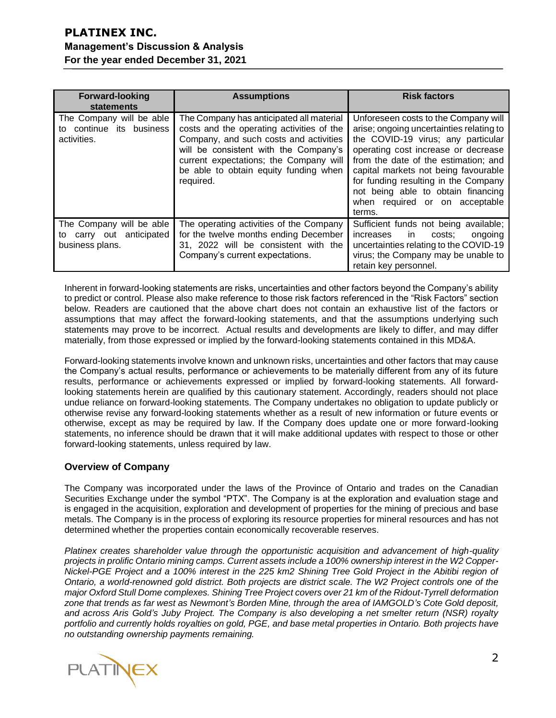| <b>Forward-looking</b><br>statements                                       | <b>Assumptions</b>                                                                                                                                                                                                                                                       | <b>Risk factors</b>                                                                                                                                                                                                                                                                                                                                                     |
|----------------------------------------------------------------------------|--------------------------------------------------------------------------------------------------------------------------------------------------------------------------------------------------------------------------------------------------------------------------|-------------------------------------------------------------------------------------------------------------------------------------------------------------------------------------------------------------------------------------------------------------------------------------------------------------------------------------------------------------------------|
| The Company will be able<br>continue its business<br>to<br>activities.     | The Company has anticipated all material<br>costs and the operating activities of the<br>Company, and such costs and activities<br>will be consistent with the Company's<br>current expectations; the Company will<br>be able to obtain equity funding when<br>required. | Unforeseen costs to the Company will<br>arise; ongoing uncertainties relating to<br>the COVID-19 virus; any particular<br>operating cost increase or decrease<br>from the date of the estimation; and<br>capital markets not being favourable<br>for funding resulting in the Company<br>not being able to obtain financing<br>when required or on acceptable<br>terms. |
| The Company will be able<br>carry out anticipated<br>to<br>business plans. | The operating activities of the Company<br>for the twelve months ending December<br>31, 2022 will be consistent with the<br>Company's current expectations.                                                                                                              | Sufficient funds not being available;<br>increases<br>in<br>costs:<br>ongoing<br>uncertainties relating to the COVID-19<br>virus; the Company may be unable to<br>retain key personnel.                                                                                                                                                                                 |

Inherent in forward-looking statements are risks, uncertainties and other factors beyond the Company's ability to predict or control. Please also make reference to those risk factors referenced in the "Risk Factors" section below. Readers are cautioned that the above chart does not contain an exhaustive list of the factors or assumptions that may affect the forward-looking statements, and that the assumptions underlying such statements may prove to be incorrect. Actual results and developments are likely to differ, and may differ materially, from those expressed or implied by the forward-looking statements contained in this MD&A.

Forward-looking statements involve known and unknown risks, uncertainties and other factors that may cause the Company's actual results, performance or achievements to be materially different from any of its future results, performance or achievements expressed or implied by forward-looking statements. All forwardlooking statements herein are qualified by this cautionary statement. Accordingly, readers should not place undue reliance on forward-looking statements. The Company undertakes no obligation to update publicly or otherwise revise any forward-looking statements whether as a result of new information or future events or otherwise, except as may be required by law. If the Company does update one or more forward-looking statements, no inference should be drawn that it will make additional updates with respect to those or other forward-looking statements, unless required by law.

# **Overview of Company**

The Company was incorporated under the laws of the Province of Ontario and trades on the Canadian Securities Exchange under the symbol "PTX". The Company is at the exploration and evaluation stage and is engaged in the acquisition, exploration and development of properties for the mining of precious and base metals. The Company is in the process of exploring its resource properties for mineral resources and has not determined whether the properties contain economically recoverable reserves.

*Platinex creates shareholder value through the opportunistic acquisition and advancement of high-quality projects in prolific Ontario mining camps. Current assets include a 100% ownership interest in the W2 Copper-Nickel-PGE Project and a 100% interest in the 225 km2 Shining Tree Gold Project in the Abitibi region of Ontario, a world-renowned gold district. Both projects are district scale. The W2 Project controls one of the major Oxford Stull Dome complexes. Shining Tree Project covers over 21 km of the Ridout-Tyrrell deformation zone that trends as far west as Newmont's Borden Mine, through the area of IAMGOLD's Cote Gold deposit, and across Aris Gold's Juby Project. The Company is also developing a net smelter return (NSR) royalty portfolio and currently holds royalties on gold, PGE, and base metal properties in Ontario. Both projects have no outstanding ownership payments remaining.* 

**PLATINEX**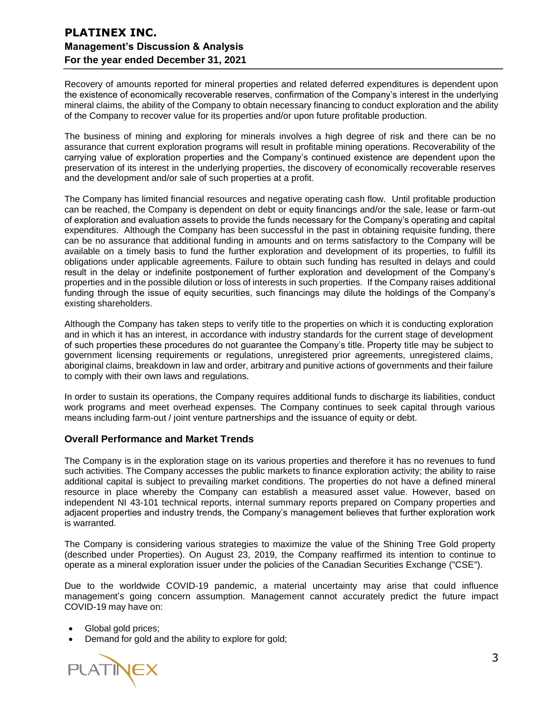Recovery of amounts reported for mineral properties and related deferred expenditures is dependent upon the existence of economically recoverable reserves, confirmation of the Company's interest in the underlying mineral claims, the ability of the Company to obtain necessary financing to conduct exploration and the ability of the Company to recover value for its properties and/or upon future profitable production.

The business of mining and exploring for minerals involves a high degree of risk and there can be no assurance that current exploration programs will result in profitable mining operations. Recoverability of the carrying value of exploration properties and the Company's continued existence are dependent upon the preservation of its interest in the underlying properties, the discovery of economically recoverable reserves and the development and/or sale of such properties at a profit.

The Company has limited financial resources and negative operating cash flow. Until profitable production can be reached, the Company is dependent on debt or equity financings and/or the sale, lease or farm-out of exploration and evaluation assets to provide the funds necessary for the Company's operating and capital expenditures. Although the Company has been successful in the past in obtaining requisite funding, there can be no assurance that additional funding in amounts and on terms satisfactory to the Company will be available on a timely basis to fund the further exploration and development of its properties, to fulfill its obligations under applicable agreements. Failure to obtain such funding has resulted in delays and could result in the delay or indefinite postponement of further exploration and development of the Company's properties and in the possible dilution or loss of interests in such properties. If the Company raises additional funding through the issue of equity securities, such financings may dilute the holdings of the Company's existing shareholders.

Although the Company has taken steps to verify title to the properties on which it is conducting exploration and in which it has an interest, in accordance with industry standards for the current stage of development of such properties these procedures do not guarantee the Company's title. Property title may be subject to government licensing requirements or regulations, unregistered prior agreements, unregistered claims, aboriginal claims, breakdown in law and order, arbitrary and punitive actions of governments and their failure to comply with their own laws and regulations.

In order to sustain its operations, the Company requires additional funds to discharge its liabilities, conduct work programs and meet overhead expenses. The Company continues to seek capital through various means including farm-out / joint venture partnerships and the issuance of equity or debt.

## **Overall Performance and Market Trends**

The Company is in the exploration stage on its various properties and therefore it has no revenues to fund such activities. The Company accesses the public markets to finance exploration activity; the ability to raise additional capital is subject to prevailing market conditions. The properties do not have a defined mineral resource in place whereby the Company can establish a measured asset value. However, based on independent NI 43-101 technical reports, internal summary reports prepared on Company properties and adjacent properties and industry trends, the Company's management believes that further exploration work is warranted.

The Company is considering various strategies to maximize the value of the Shining Tree Gold property (described under Properties). On August 23, 2019, the Company reaffirmed its intention to continue to operate as a mineral exploration issuer under the policies of the Canadian Securities Exchange ("CSE").

Due to the worldwide COVID-19 pandemic, a material uncertainty may arise that could influence management's going concern assumption. Management cannot accurately predict the future impact COVID-19 may have on:

- Global gold prices;
- Demand for gold and the ability to explore for gold;

**PLATINEX**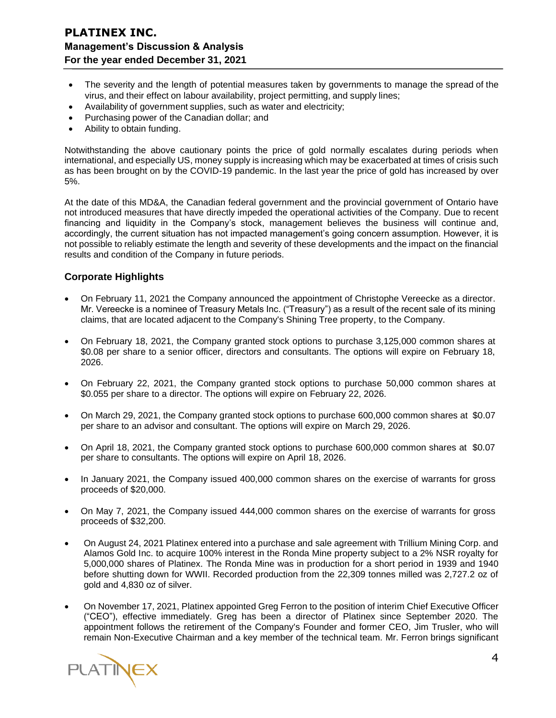- The severity and the length of potential measures taken by governments to manage the spread of the virus, and their effect on labour availability, project permitting, and supply lines;
- Availability of government supplies, such as water and electricity;
- Purchasing power of the Canadian dollar; and
- Ability to obtain funding.

Notwithstanding the above cautionary points the price of gold normally escalates during periods when international, and especially US, money supply is increasing which may be exacerbated at times of crisis such as has been brought on by the COVID-19 pandemic. In the last year the price of gold has increased by over 5%.

At the date of this MD&A, the Canadian federal government and the provincial government of Ontario have not introduced measures that have directly impeded the operational activities of the Company. Due to recent financing and liquidity in the Company's stock, management believes the business will continue and, accordingly, the current situation has not impacted management's going concern assumption. However, it is not possible to reliably estimate the length and severity of these developments and the impact on the financial results and condition of the Company in future periods.

## **Corporate Highlights**

- On February 11, 2021 the Company announced the appointment of Christophe Vereecke as a director. Mr. Vereecke is a nominee of Treasury Metals Inc. ("Treasury") as a result of the recent sale of its mining claims, that are located adjacent to the Company's Shining Tree property, to the Company.
- On February 18, 2021, the Company granted stock options to purchase 3,125,000 common shares at \$0.08 per share to a senior officer, directors and consultants. The options will expire on February 18, 2026.
- On February 22, 2021, the Company granted stock options to purchase 50,000 common shares at \$0.055 per share to a director. The options will expire on February 22, 2026.
- On March 29, 2021, the Company granted stock options to purchase 600,000 common shares at \$0.07 per share to an advisor and consultant. The options will expire on March 29, 2026.
- On April 18, 2021, the Company granted stock options to purchase 600,000 common shares at \$0.07 per share to consultants. The options will expire on April 18, 2026.
- In January 2021, the Company issued 400,000 common shares on the exercise of warrants for gross proceeds of \$20,000.
- On May 7, 2021, the Company issued 444,000 common shares on the exercise of warrants for gross proceeds of \$32,200.
- On August 24, 2021 Platinex entered into a purchase and sale agreement with Trillium Mining Corp. and Alamos Gold Inc. to acquire 100% interest in the Ronda Mine property subject to a 2% NSR royalty for 5,000,000 shares of Platinex. The Ronda Mine was in production for a short period in 1939 and 1940 before shutting down for WWII. Recorded production from the 22,309 tonnes milled was 2,727.2 oz of gold and 4,830 oz of silver.
- On November 17, 2021, Platinex appointed Greg Ferron to the position of interim Chief Executive Officer ("CEO"), effective immediately. Greg has been a director of Platinex since September 2020. The appointment follows the retirement of the Company's Founder and former CEO, Jim Trusler, who will remain Non-Executive Chairman and a key member of the technical team. Mr. Ferron brings significant

**PLATINEX**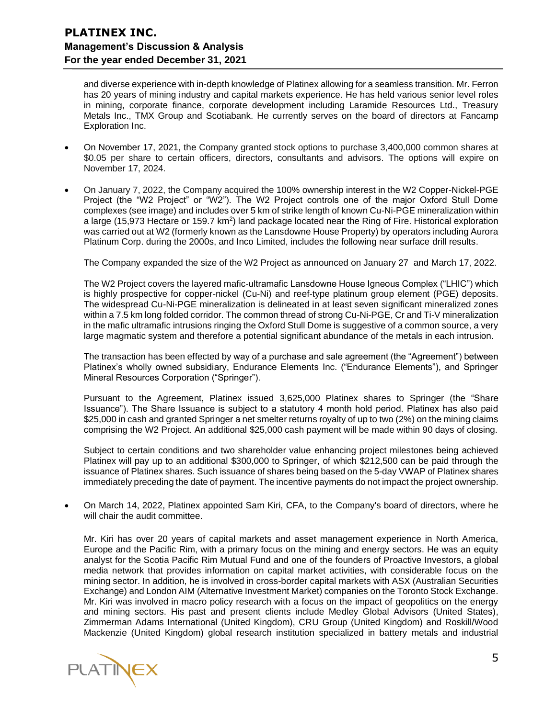and diverse experience with in-depth knowledge of Platinex allowing for a seamless transition. Mr. Ferron has 20 years of mining industry and capital markets experience. He has held various senior level roles in mining, corporate finance, corporate development including Laramide Resources Ltd., Treasury Metals Inc., TMX Group and Scotiabank. He currently serves on the board of directors at Fancamp Exploration Inc.

- On November 17, 2021, the Company granted stock options to purchase 3,400,000 common shares at \$0.05 per share to certain officers, directors, consultants and advisors. The options will expire on November 17, 2024.
- On January 7, 2022, the Company acquired the 100% ownership interest in the W2 Copper-Nickel-PGE Project (the "W2 Project" or "W2"). The W2 Project controls one of the major Oxford Stull Dome complexes (see image) and includes over 5 km of strike length of known Cu-Ni-PGE mineralization within a large (15,973 Hectare or 159.7 km<sup>2</sup>) land package located near the Ring of Fire. Historical exploration was carried out at W2 (formerly known as the Lansdowne House Property) by operators including Aurora Platinum Corp. during the 2000s, and Inco Limited, includes the following near surface drill results.

The Company expanded the size of the W2 Project as announced on January 27 and March 17, 2022.

The W2 Project covers the layered mafic-ultramafic Lansdowne House Igneous Complex ("LHIC") which is highly prospective for copper-nickel (Cu-Ni) and reef-type platinum group element (PGE) deposits. The widespread Cu-Ni-PGE mineralization is delineated in at least seven significant mineralized zones within a 7.5 km long folded corridor. The common thread of strong Cu-Ni-PGE, Cr and Ti-V mineralization in the mafic ultramafic intrusions ringing the Oxford Stull Dome is suggestive of a common source, a very large magmatic system and therefore a potential significant abundance of the metals in each intrusion.

The transaction has been effected by way of a purchase and sale agreement (the "Agreement") between Platinex's wholly owned subsidiary, Endurance Elements Inc. ("Endurance Elements"), and Springer Mineral Resources Corporation ("Springer").

Pursuant to the Agreement, Platinex issued 3,625,000 Platinex shares to Springer (the "Share Issuance"). The Share Issuance is subject to a statutory 4 month hold period. Platinex has also paid \$25,000 in cash and granted Springer a net smelter returns royalty of up to two (2%) on the mining claims comprising the W2 Project. An additional \$25,000 cash payment will be made within 90 days of closing.

Subject to certain conditions and two shareholder value enhancing project milestones being achieved Platinex will pay up to an additional \$300,000 to Springer, of which \$212,500 can be paid through the issuance of Platinex shares. Such issuance of shares being based on the 5-day VWAP of Platinex shares immediately preceding the date of payment. The incentive payments do not impact the project ownership.

• On March 14, 2022, Platinex appointed Sam Kiri, CFA, to the Company's board of directors, where he will chair the audit committee.

Mr. Kiri has over 20 years of capital markets and asset management experience in North America, Europe and the Pacific Rim, with a primary focus on the mining and energy sectors. He was an equity analyst for the Scotia Pacific Rim Mutual Fund and one of the founders of Proactive Investors, a global media network that provides information on capital market activities, with considerable focus on the mining sector. In addition, he is involved in cross-border capital markets with ASX (Australian Securities Exchange) and London AIM (Alternative Investment Market) companies on the Toronto Stock Exchange. Mr. Kiri was involved in macro policy research with a focus on the impact of geopolitics on the energy and mining sectors. His past and present clients include Medley Global Advisors (United States), Zimmerman Adams International (United Kingdom), CRU Group (United Kingdom) and Roskill/Wood Mackenzie (United Kingdom) global research institution specialized in battery metals and industrial

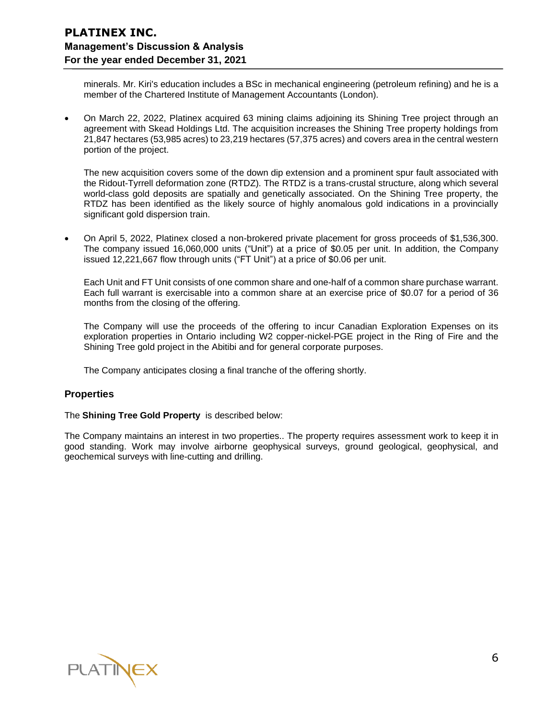minerals. Mr. Kiri's education includes a BSc in mechanical engineering (petroleum refining) and he is a member of the Chartered Institute of Management Accountants (London).

• On March 22, 2022, Platinex acquired 63 mining claims adjoining its Shining Tree project through an agreement with Skead Holdings Ltd. The acquisition increases the Shining Tree property holdings from 21,847 hectares (53,985 acres) to 23,219 hectares (57,375 acres) and covers area in the central western portion of the project.

The new acquisition covers some of the down dip extension and a prominent spur fault associated with the Ridout-Tyrrell deformation zone (RTDZ). The RTDZ is a trans-crustal structure, along which several world-class gold deposits are spatially and genetically associated. On the Shining Tree property, the RTDZ has been identified as the likely source of highly anomalous gold indications in a provincially significant gold dispersion train.

• On April 5, 2022, Platinex closed a non-brokered private placement for gross proceeds of \$1,536,300. The company issued 16,060,000 units ("Unit") at a price of \$0.05 per unit. In addition, the Company issued 12,221,667 flow through units ("FT Unit") at a price of \$0.06 per unit.

Each Unit and FT Unit consists of one common share and one-half of a common share purchase warrant. Each full warrant is exercisable into a common share at an exercise price of \$0.07 for a period of 36 months from the closing of the offering.

The Company will use the proceeds of the offering to incur Canadian Exploration Expenses on its exploration properties in Ontario including W2 copper-nickel-PGE project in the Ring of Fire and the Shining Tree gold project in the Abitibi and for general corporate purposes.

The Company anticipates closing a final tranche of the offering shortly.

# **Properties**

### The **Shining Tree Gold Property** is described below:

The Company maintains an interest in two properties.. The property requires assessment work to keep it in good standing. Work may involve airborne geophysical surveys, ground geological, geophysical, and geochemical surveys with line-cutting and drilling.

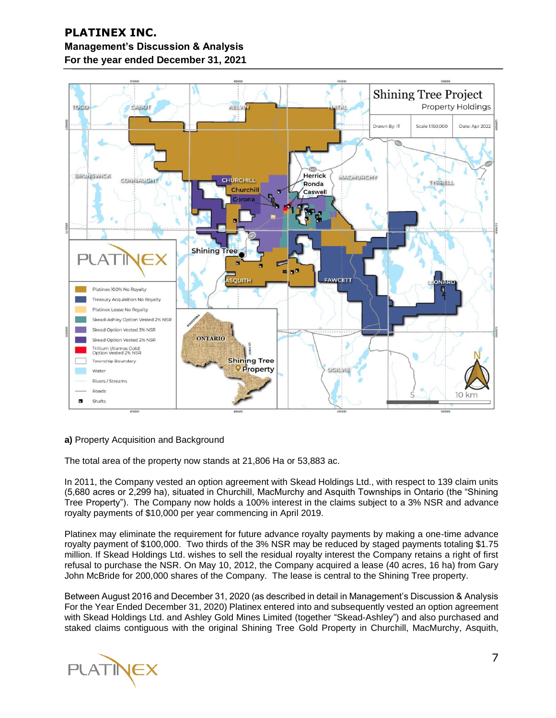

### **a)** Property Acquisition and Background

The total area of the property now stands at 21,806 Ha or 53,883 ac.

In 2011, the Company vested an option agreement with Skead Holdings Ltd., with respect to 139 claim units (5,680 acres or 2,299 ha), situated in Churchill, MacMurchy and Asquith Townships in Ontario (the "Shining Tree Property"). The Company now holds a 100% interest in the claims subject to a 3% NSR and advance royalty payments of \$10,000 per year commencing in April 2019.

Platinex may eliminate the requirement for future advance royalty payments by making a one-time advance royalty payment of \$100,000. Two thirds of the 3% NSR may be reduced by staged payments totaling \$1.75 million. If Skead Holdings Ltd. wishes to sell the residual royalty interest the Company retains a right of first refusal to purchase the NSR. On May 10, 2012, the Company acquired a lease (40 acres, 16 ha) from Gary John McBride for 200,000 shares of the Company. The lease is central to the Shining Tree property.

Between August 2016 and December 31, 2020 (as described in detail in Management's Discussion & Analysis For the Year Ended December 31, 2020) Platinex entered into and subsequently vested an option agreement with Skead Holdings Ltd. and Ashley Gold Mines Limited (together "Skead-Ashley") and also purchased and staked claims contiguous with the original Shining Tree Gold Property in Churchill, MacMurchy, Asquith,

**PLATINEX**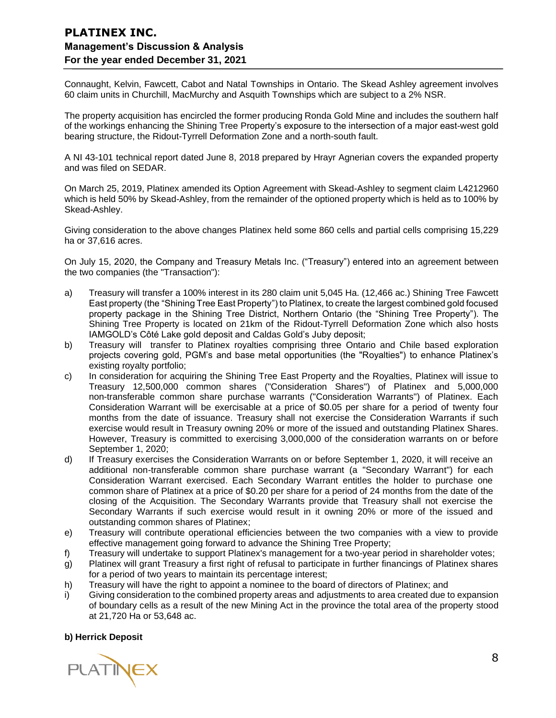Connaught, Kelvin, Fawcett, Cabot and Natal Townships in Ontario. The Skead Ashley agreement involves 60 claim units in Churchill, MacMurchy and Asquith Townships which are subject to a 2% NSR.

The property acquisition has encircled the former producing Ronda Gold Mine and includes the southern half of the workings enhancing the Shining Tree Property's exposure to the intersection of a major east-west gold bearing structure, the Ridout-Tyrrell Deformation Zone and a north-south fault.

A NI 43-101 technical report dated June 8, 2018 prepared by Hrayr Agnerian covers the expanded property and was filed on SEDAR.

On March 25, 2019, Platinex amended its Option Agreement with Skead-Ashley to segment claim L4212960 which is held 50% by Skead-Ashley, from the remainder of the optioned property which is held as to 100% by Skead-Ashley.

Giving consideration to the above changes Platinex held some 860 cells and partial cells comprising 15,229 ha or 37,616 acres.

On July 15, 2020, the Company and Treasury Metals Inc. ("Treasury") entered into an agreement between the two companies (the "Transaction"):

- a) Treasury will transfer a 100% interest in its 280 claim unit 5,045 Ha. (12,466 ac.) Shining Tree Fawcett East property (the "Shining Tree East Property") to Platinex, to create the largest combined gold focused property package in the Shining Tree District, Northern Ontario (the "Shining Tree Property"). The Shining Tree Property is located on 21km of the Ridout-Tyrrell Deformation Zone which also hosts IAMGOLD's Côté Lake gold deposit and Caldas Gold's Juby deposit;
- b) Treasury will transfer to Platinex royalties comprising three Ontario and Chile based exploration projects covering gold, PGM's and base metal opportunities (the "Royalties") to enhance Platinex's existing royalty portfolio;
- c) In consideration for acquiring the Shining Tree East Property and the Royalties, Platinex will issue to Treasury 12,500,000 common shares ("Consideration Shares") of Platinex and 5,000,000 non-transferable common share purchase warrants ("Consideration Warrants") of Platinex. Each Consideration Warrant will be exercisable at a price of \$0.05 per share for a period of twenty four months from the date of issuance. Treasury shall not exercise the Consideration Warrants if such exercise would result in Treasury owning 20% or more of the issued and outstanding Platinex Shares. However, Treasury is committed to exercising 3,000,000 of the consideration warrants on or before September 1, 2020;
- d) If Treasury exercises the Consideration Warrants on or before September 1, 2020, it will receive an additional non-transferable common share purchase warrant (a "Secondary Warrant") for each Consideration Warrant exercised. Each Secondary Warrant entitles the holder to purchase one common share of Platinex at a price of \$0.20 per share for a period of 24 months from the date of the closing of the Acquisition. The Secondary Warrants provide that Treasury shall not exercise the Secondary Warrants if such exercise would result in it owning 20% or more of the issued and outstanding common shares of Platinex;
- e) Treasury will contribute operational efficiencies between the two companies with a view to provide effective management going forward to advance the Shining Tree Property;
- f) Treasury will undertake to support Platinex's management for a two-year period in shareholder votes;
- g) Platinex will grant Treasury a first right of refusal to participate in further financings of Platinex shares for a period of two years to maintain its percentage interest;
- h) Treasury will have the right to appoint a nominee to the board of directors of Platinex; and
- i) Giving consideration to the combined property areas and adjustments to area created due to expansion of boundary cells as a result of the new Mining Act in the province the total area of the property stood at 21,720 Ha or 53,648 ac.

### **b) Herrick Deposit**

**PLATINEX**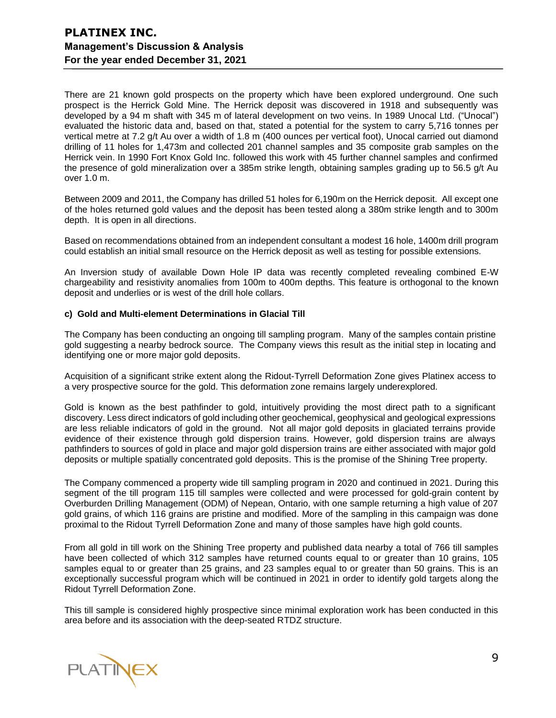There are 21 known gold prospects on the property which have been explored underground. One such prospect is the Herrick Gold Mine. The Herrick deposit was discovered in 1918 and subsequently was developed by a 94 m shaft with 345 m of lateral development on two veins. In 1989 Unocal Ltd. ("Unocal") evaluated the historic data and, based on that, stated a potential for the system to carry 5,716 tonnes per vertical metre at 7.2 g/t Au over a width of 1.8 m (400 ounces per vertical foot), Unocal carried out diamond drilling of 11 holes for 1,473m and collected 201 channel samples and 35 composite grab samples on the Herrick vein. In 1990 Fort Knox Gold Inc. followed this work with 45 further channel samples and confirmed the presence of gold mineralization over a 385m strike length, obtaining samples grading up to 56.5 g/t Au over 1.0 m.

Between 2009 and 2011, the Company has drilled 51 holes for 6,190m on the Herrick deposit. All except one of the holes returned gold values and the deposit has been tested along a 380m strike length and to 300m depth. It is open in all directions.

Based on recommendations obtained from an independent consultant a modest 16 hole, 1400m drill program could establish an initial small resource on the Herrick deposit as well as testing for possible extensions.

An Inversion study of available Down Hole IP data was recently completed revealing combined E-W chargeability and resistivity anomalies from 100m to 400m depths. This feature is orthogonal to the known deposit and underlies or is west of the drill hole collars.

### **c) Gold and Multi-element Determinations in Glacial Till**

The Company has been conducting an ongoing till sampling program. Many of the samples contain pristine gold suggesting a nearby bedrock source. The Company views this result as the initial step in locating and identifying one or more major gold deposits.

Acquisition of a significant strike extent along the Ridout-Tyrrell Deformation Zone gives Platinex access to a very prospective source for the gold. This deformation zone remains largely underexplored.

Gold is known as the best pathfinder to gold, intuitively providing the most direct path to a significant discovery. Less direct indicators of gold including other geochemical, geophysical and geological expressions are less reliable indicators of gold in the ground. Not all major gold deposits in glaciated terrains provide evidence of their existence through gold dispersion trains. However, gold dispersion trains are always pathfinders to sources of gold in place and major gold dispersion trains are either associated with major gold deposits or multiple spatially concentrated gold deposits. This is the promise of the Shining Tree property.

The Company commenced a property wide till sampling program in 2020 and continued in 2021. During this segment of the till program 115 till samples were collected and were processed for gold-grain content by Overburden Drilling Management (ODM) of Nepean, Ontario, with one sample returning a high value of 207 gold grains, of which 116 grains are pristine and modified. More of the sampling in this campaign was done proximal to the Ridout Tyrrell Deformation Zone and many of those samples have high gold counts.

From all gold in till work on the Shining Tree property and published data nearby a total of 766 till samples have been collected of which 312 samples have returned counts equal to or greater than 10 grains, 105 samples equal to or greater than 25 grains, and 23 samples equal to or greater than 50 grains. This is an exceptionally successful program which will be continued in 2021 in order to identify gold targets along the Ridout Tyrrell Deformation Zone.

This till sample is considered highly prospective since minimal exploration work has been conducted in this area before and its association with the deep-seated RTDZ structure.

PLATINEX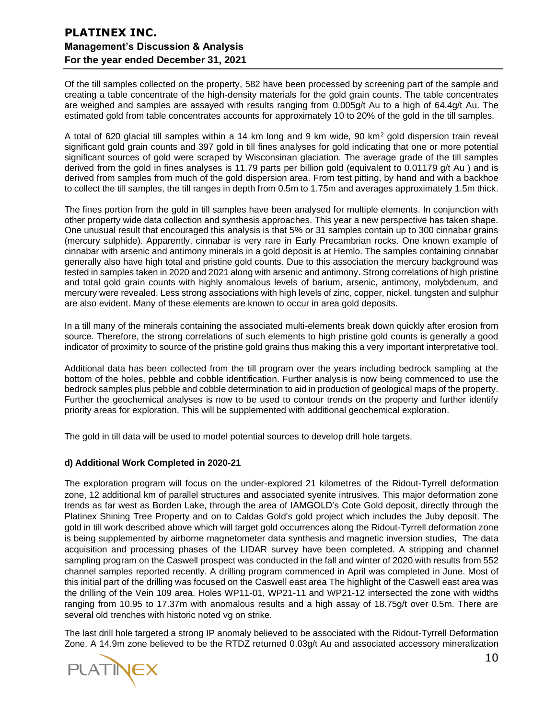Of the till samples collected on the property, 582 have been processed by screening part of the sample and creating a table concentrate of the high-density materials for the gold grain counts. The table concentrates are weighed and samples are assayed with results ranging from 0.005g/t Au to a high of 64.4g/t Au. The estimated gold from table concentrates accounts for approximately 10 to 20% of the gold in the till samples.

A total of 620 glacial till samples within a 14 km long and 9 km wide, 90 km<sup>2</sup> gold dispersion train reveal significant gold grain counts and 397 gold in till fines analyses for gold indicating that one or more potential significant sources of gold were scraped by Wisconsinan glaciation. The average grade of the till samples derived from the gold in fines analyses is 11.79 parts per billion gold (equivalent to 0.01179 g/t Au) and is derived from samples from much of the gold dispersion area. From test pitting, by hand and with a backhoe to collect the till samples, the till ranges in depth from 0.5m to 1.75m and averages approximately 1.5m thick.

The fines portion from the gold in till samples have been analysed for multiple elements. In conjunction with other property wide data collection and synthesis approaches. This year a new perspective has taken shape. One unusual result that encouraged this analysis is that 5% or 31 samples contain up to 300 cinnabar grains (mercury sulphide). Apparently, cinnabar is very rare in Early Precambrian rocks. One known example of cinnabar with arsenic and antimony minerals in a gold deposit is at Hemlo. The samples containing cinnabar generally also have high total and pristine gold counts. Due to this association the mercury background was tested in samples taken in 2020 and 2021 along with arsenic and antimony. Strong correlations of high pristine and total gold grain counts with highly anomalous levels of barium, arsenic, antimony, molybdenum, and mercury were revealed. Less strong associations with high levels of zinc, copper, nickel, tungsten and sulphur are also evident. Many of these elements are known to occur in area gold deposits.

In a till many of the minerals containing the associated multi-elements break down quickly after erosion from source. Therefore, the strong correlations of such elements to high pristine gold counts is generally a good indicator of proximity to source of the pristine gold grains thus making this a very important interpretative tool.

Additional data has been collected from the till program over the years including bedrock sampling at the bottom of the holes, pebble and cobble identification. Further analysis is now being commenced to use the bedrock samples plus pebble and cobble determination to aid in production of geological maps of the property. Further the geochemical analyses is now to be used to contour trends on the property and further identify priority areas for exploration. This will be supplemented with additional geochemical exploration.

The gold in till data will be used to model potential sources to develop drill hole targets.

## **d) Additional Work Completed in 2020-21**

The exploration program will focus on the under-explored 21 kilometres of the Ridout-Tyrrell deformation zone, 12 additional km of parallel structures and associated syenite intrusives. This major deformation zone trends as far west as Borden Lake, through the area of IAMGOLD's Cote Gold deposit, directly through the Platinex Shining Tree Property and on to Caldas Gold's gold project which includes the Juby deposit. The gold in till work described above which will target gold occurrences along the Ridout-Tyrrell deformation zone is being supplemented by airborne magnetometer data synthesis and magnetic inversion studies, The data acquisition and processing phases of the LIDAR survey have been completed. A stripping and channel sampling program on the Caswell prospect was conducted in the fall and winter of 2020 with results from 552 channel samples reported recently. A drilling program commenced in April was completed in June. Most of this initial part of the drilling was focused on the Caswell east area The highlight of the Caswell east area was the drilling of the Vein 109 area. Holes WP11-01, WP21-11 and WP21-12 intersected the zone with widths ranging from 10.95 to 17.37m with anomalous results and a high assay of 18.75g/t over 0.5m. There are several old trenches with historic noted vg on strike.

The last drill hole targeted a strong IP anomaly believed to be associated with the Ridout-Tyrrell Deformation Zone. A 14.9m zone believed to be the RTDZ returned 0.03g/t Au and associated accessory mineralization

**PLATINEX**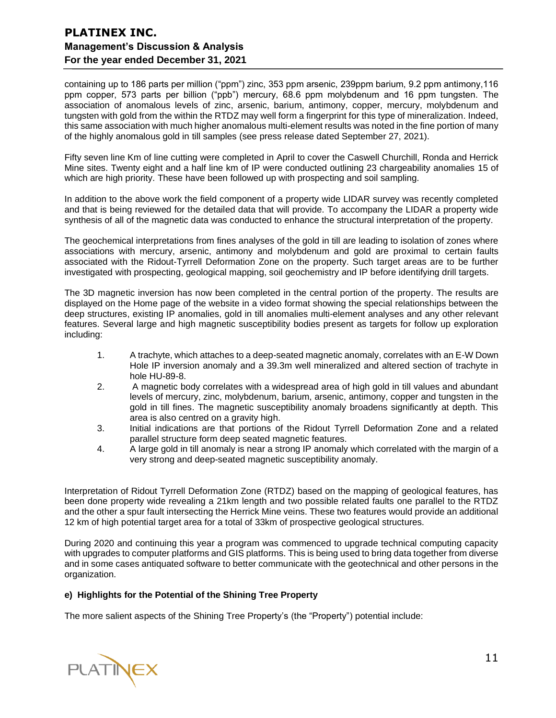containing up to 186 parts per million ("ppm") zinc, 353 ppm arsenic, 239ppm barium, 9.2 ppm antimony,116 ppm copper, 573 parts per billion ("ppb") mercury, 68.6 ppm molybdenum and 16 ppm tungsten. The association of anomalous levels of zinc, arsenic, barium, antimony, copper, mercury, molybdenum and tungsten with gold from the within the RTDZ may well form a fingerprint for this type of mineralization. Indeed, this same association with much higher anomalous multi-element results was noted in the fine portion of many of the highly anomalous gold in till samples (see press release dated September 27, 2021).

Fifty seven line Km of line cutting were completed in April to cover the Caswell Churchill, Ronda and Herrick Mine sites. Twenty eight and a half line km of IP were conducted outlining 23 chargeability anomalies 15 of which are high priority. These have been followed up with prospecting and soil sampling.

In addition to the above work the field component of a property wide LIDAR survey was recently completed and that is being reviewed for the detailed data that will provide. To accompany the LIDAR a property wide synthesis of all of the magnetic data was conducted to enhance the structural interpretation of the property.

The geochemical interpretations from fines analyses of the gold in till are leading to isolation of zones where associations with mercury, arsenic, antimony and molybdenum and gold are proximal to certain faults associated with the Ridout-Tyrrell Deformation Zone on the property. Such target areas are to be further investigated with prospecting, geological mapping, soil geochemistry and IP before identifying drill targets.

The 3D magnetic inversion has now been completed in the central portion of the property. The results are displayed on the Home page of the website in a video format showing the special relationships between the deep structures, existing IP anomalies, gold in till anomalies multi-element analyses and any other relevant features. Several large and high magnetic susceptibility bodies present as targets for follow up exploration including:

- 1. A trachyte, which attaches to a deep-seated magnetic anomaly, correlates with an E-W Down Hole IP inversion anomaly and a 39.3m well mineralized and altered section of trachyte in hole HU-89-8.
- 2. A magnetic body correlates with a widespread area of high gold in till values and abundant levels of mercury, zinc, molybdenum, barium, arsenic, antimony, copper and tungsten in the gold in till fines. The magnetic susceptibility anomaly broadens significantly at depth. This area is also centred on a gravity high.
- 3. Initial indications are that portions of the Ridout Tyrrell Deformation Zone and a related parallel structure form deep seated magnetic features.
- 4. A large gold in till anomaly is near a strong IP anomaly which correlated with the margin of a very strong and deep-seated magnetic susceptibility anomaly.

Interpretation of Ridout Tyrrell Deformation Zone (RTDZ) based on the mapping of geological features, has been done property wide revealing a 21km length and two possible related faults one parallel to the RTDZ and the other a spur fault intersecting the Herrick Mine veins. These two features would provide an additional 12 km of high potential target area for a total of 33km of prospective geological structures.

During 2020 and continuing this year a program was commenced to upgrade technical computing capacity with upgrades to computer platforms and GIS platforms. This is being used to bring data together from diverse and in some cases antiquated software to better communicate with the geotechnical and other persons in the organization.

## **e) Highlights for the Potential of the Shining Tree Property**

The more salient aspects of the Shining Tree Property's (the "Property") potential include:

**PLATINEX**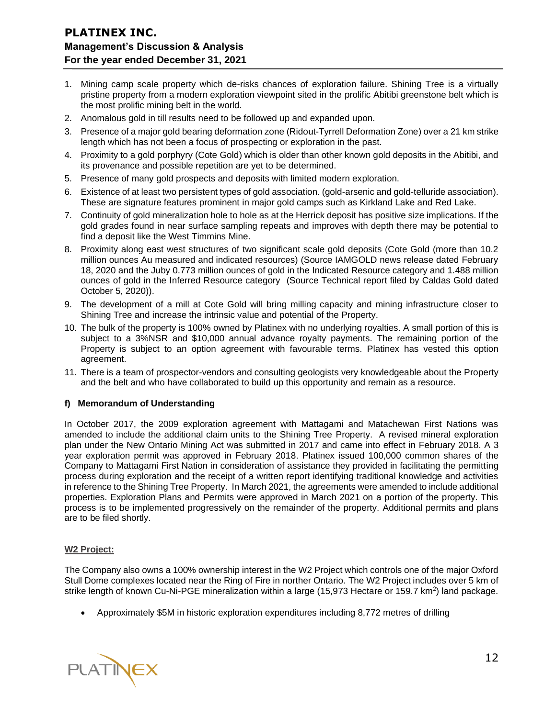- 1. Mining camp scale property which de-risks chances of exploration failure. Shining Tree is a virtually pristine property from a modern exploration viewpoint sited in the prolific Abitibi greenstone belt which is the most prolific mining belt in the world.
- 2. Anomalous gold in till results need to be followed up and expanded upon.
- 3. Presence of a major gold bearing deformation zone (Ridout-Tyrrell Deformation Zone) over a 21 km strike length which has not been a focus of prospecting or exploration in the past.
- 4. Proximity to a gold porphyry (Cote Gold) which is older than other known gold deposits in the Abitibi, and its provenance and possible repetition are yet to be determined.
- 5. Presence of many gold prospects and deposits with limited modern exploration.
- 6. Existence of at least two persistent types of gold association. (gold-arsenic and gold-telluride association). These are signature features prominent in major gold camps such as Kirkland Lake and Red Lake.
- 7. Continuity of gold mineralization hole to hole as at the Herrick deposit has positive size implications. If the gold grades found in near surface sampling repeats and improves with depth there may be potential to find a deposit like the West Timmins Mine.
- 8. Proximity along east west structures of two significant scale gold deposits (Cote Gold (more than 10.2 million ounces Au measured and indicated resources) (Source IAMGOLD news release dated February 18, 2020 and the Juby 0.773 million ounces of gold in the Indicated Resource category and 1.488 million ounces of gold in the Inferred Resource category (Source Technical report filed by Caldas Gold dated October 5, 2020)).
- 9. The development of a mill at Cote Gold will bring milling capacity and mining infrastructure closer to Shining Tree and increase the intrinsic value and potential of the Property.
- 10. The bulk of the property is 100% owned by Platinex with no underlying royalties. A small portion of this is subject to a 3%NSR and \$10,000 annual advance royalty payments. The remaining portion of the Property is subject to an option agreement with favourable terms. Platinex has vested this option agreement.
- 11. There is a team of prospector-vendors and consulting geologists very knowledgeable about the Property and the belt and who have collaborated to build up this opportunity and remain as a resource.

### **f) Memorandum of Understanding**

In October 2017, the 2009 exploration agreement with Mattagami and Matachewan First Nations was amended to include the additional claim units to the Shining Tree Property. A revised mineral exploration plan under the New Ontario Mining Act was submitted in 2017 and came into effect in February 2018. A 3 year exploration permit was approved in February 2018. Platinex issued 100,000 common shares of the Company to Mattagami First Nation in consideration of assistance they provided in facilitating the permitting process during exploration and the receipt of a written report identifying traditional knowledge and activities in reference to the Shining Tree Property. In March 2021, the agreements were amended to include additional properties. Exploration Plans and Permits were approved in March 2021 on a portion of the property. This process is to be implemented progressively on the remainder of the property. Additional permits and plans are to be filed shortly.

#### **W2 Project:**

The Company also owns a 100% ownership interest in the W2 Project which controls one of the major Oxford Stull Dome complexes located near the Ring of Fire in norther Ontario. The W2 Project includes over 5 km of strike length of known Cu-Ni-PGE mineralization within a large (15,973 Hectare or 159.7 km<sup>2</sup>) land package.

• Approximately \$5M in historic exploration expenditures including 8,772 metres of drilling

PLATINEX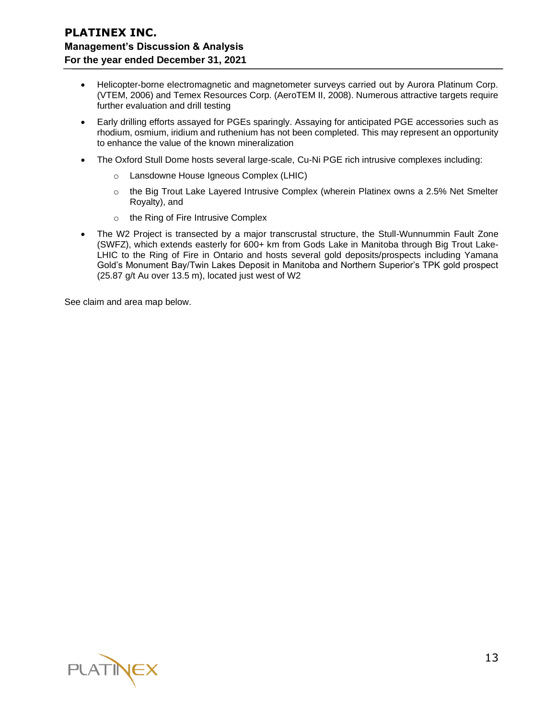- Helicopter-borne electromagnetic and magnetometer surveys carried out by Aurora Platinum Corp. (VTEM, 2006) and Temex Resources Corp. (AeroTEM II, 2008). Numerous attractive targets require further evaluation and drill testing
- Early drilling efforts assayed for PGEs sparingly. Assaying for anticipated PGE accessories such as rhodium, osmium, iridium and ruthenium has not been completed. This may represent an opportunity to enhance the value of the known mineralization
- The Oxford Stull Dome hosts several large-scale, Cu-Ni PGE rich intrusive complexes including:
	- o Lansdowne House Igneous Complex (LHIC)
	- $\circ$  the Big Trout Lake Layered Intrusive Complex (wherein Platinex owns a 2.5% Net Smelter Royalty), and
	- o the Ring of Fire Intrusive Complex
- The W2 Project is transected by a major transcrustal structure, the Stull-Wunnummin Fault Zone (SWFZ), which extends easterly for 600+ km from Gods Lake in Manitoba through Big Trout Lake-LHIC to the Ring of Fire in Ontario and hosts several gold deposits/prospects including Yamana Gold's Monument Bay/Twin Lakes Deposit in Manitoba and Northern Superior's TPK gold prospect (25.87 g/t Au over 13.5 m), located just west of W2

See claim and area map below.

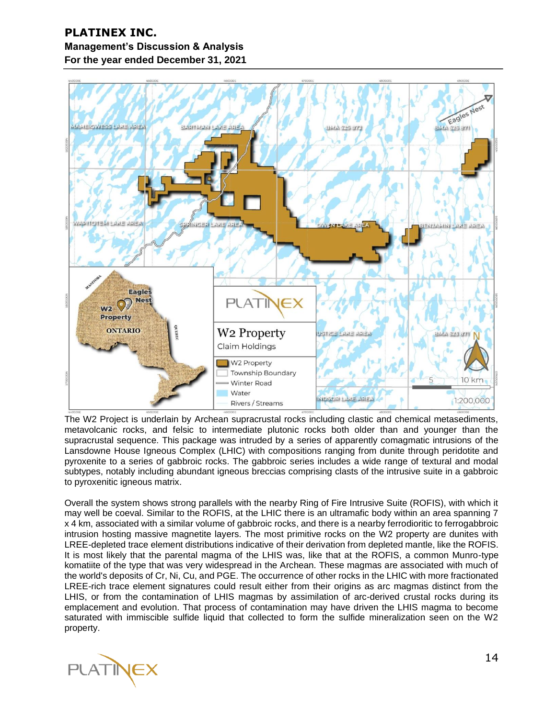

The W2 Project is underlain by Archean supracrustal rocks including clastic and chemical metasediments, metavolcanic rocks, and felsic to intermediate plutonic rocks both older than and younger than the supracrustal sequence. This package was intruded by a series of apparently comagmatic intrusions of the Lansdowne House Igneous Complex (LHIC) with compositions ranging from dunite through peridotite and pyroxenite to a series of gabbroic rocks. The gabbroic series includes a wide range of textural and modal subtypes, notably including abundant igneous breccias comprising clasts of the intrusive suite in a gabbroic to pyroxenitic igneous matrix.

Overall the system shows strong parallels with the nearby Ring of Fire Intrusive Suite (ROFIS), with which it may well be coeval. Similar to the ROFIS, at the LHIC there is an ultramafic body within an area spanning 7 x 4 km, associated with a similar volume of gabbroic rocks, and there is a nearby ferrodioritic to ferrogabbroic intrusion hosting massive magnetite layers. The most primitive rocks on the W2 property are dunites with LREE-depleted trace element distributions indicative of their derivation from depleted mantle, like the ROFIS. It is most likely that the parental magma of the LHIS was, like that at the ROFIS, a common Munro-type komatiite of the type that was very widespread in the Archean. These magmas are associated with much of the world's deposits of Cr, Ni, Cu, and PGE. The occurrence of other rocks in the LHIC with more fractionated LREE-rich trace element signatures could result either from their origins as arc magmas distinct from the LHIS, or from the contamination of LHIS magmas by assimilation of arc-derived crustal rocks during its emplacement and evolution. That process of contamination may have driven the LHIS magma to become saturated with immiscible sulfide liquid that collected to form the sulfide mineralization seen on the W2 property.

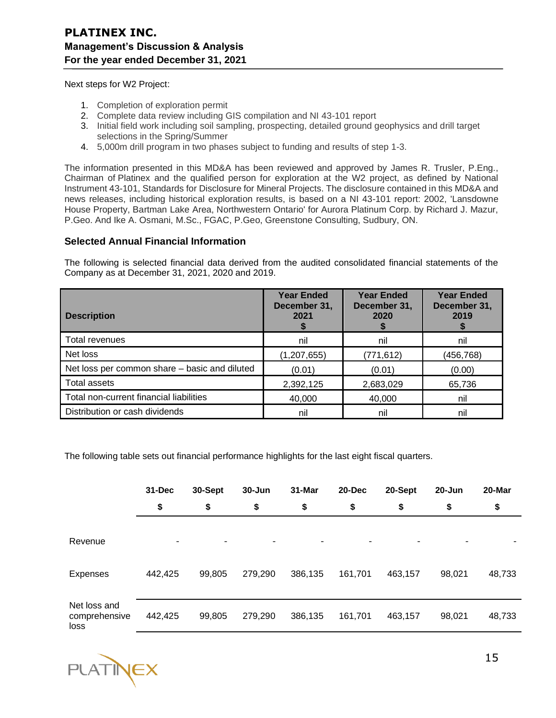Next steps for W2 Project:

- 1. Completion of exploration permit
- 2. Complete data review including GIS compilation and NI 43-101 report
- 3. Initial field work including soil sampling, prospecting, detailed ground geophysics and drill target selections in the Spring/Summer
- 4. 5,000m drill program in two phases subject to funding and results of step 1-3.

The information presented in this MD&A has been reviewed and approved by James R. Trusler, P.Eng., Chairman of Platinex and the qualified person for exploration at the W2 project, as defined by National Instrument 43-101, Standards for Disclosure for Mineral Projects. The disclosure contained in this MD&A and news releases, including historical exploration results, is based on a NI 43-101 report: 2002, 'Lansdowne House Property, Bartman Lake Area, Northwestern Ontario' for Aurora Platinum Corp. by Richard J. Mazur, P.Geo. And Ike A. Osmani, M.Sc., FGAC, P.Geo, Greenstone Consulting, Sudbury, ON.

### **Selected Annual Financial Information**

The following is selected financial data derived from the audited consolidated financial statements of the Company as at December 31, 2021, 2020 and 2019.

| <b>Description</b>                            | <b>Year Ended</b><br>December 31,<br>2021 | <b>Year Ended</b><br>December 31,<br>2020 | <b>Year Ended</b><br>December 31,<br>2019 |
|-----------------------------------------------|-------------------------------------------|-------------------------------------------|-------------------------------------------|
| Total revenues                                | nil                                       | nil                                       | nil                                       |
| Net loss                                      | (1, 207, 655)                             | (771, 612)                                | (456, 768)                                |
| Net loss per common share - basic and diluted | (0.01)                                    | (0.01)                                    | (0.00)                                    |
| <b>Total assets</b>                           | 2,392,125                                 | 2,683,029                                 | 65,736                                    |
| Total non-current financial liabilities       | 40,000                                    | 40,000                                    | nil                                       |
| Distribution or cash dividends                | nil                                       | nil                                       | nil                                       |

The following table sets out financial performance highlights for the last eight fiscal quarters.

|                                       | $31 - Dec$ | 30-Sept | $30 - Jun$ | 31-Mar  | $20 - Dec$ | 20-Sept | $20 - Jun$ | 20-Mar |
|---------------------------------------|------------|---------|------------|---------|------------|---------|------------|--------|
|                                       | \$         | \$      | \$         | \$      | \$         | \$      | \$         | \$     |
| Revenue                               | ۰          | ٠       | ۰          | -       | ۰          |         |            |        |
| Expenses                              | 442,425    | 99,805  | 279,290    | 386,135 | 161,701    | 463,157 | 98,021     | 48,733 |
| Net loss and<br>comprehensive<br>loss | 442,425    | 99,805  | 279,290    | 386,135 | 161,701    | 463,157 | 98,021     | 48,733 |

**PLATINEX**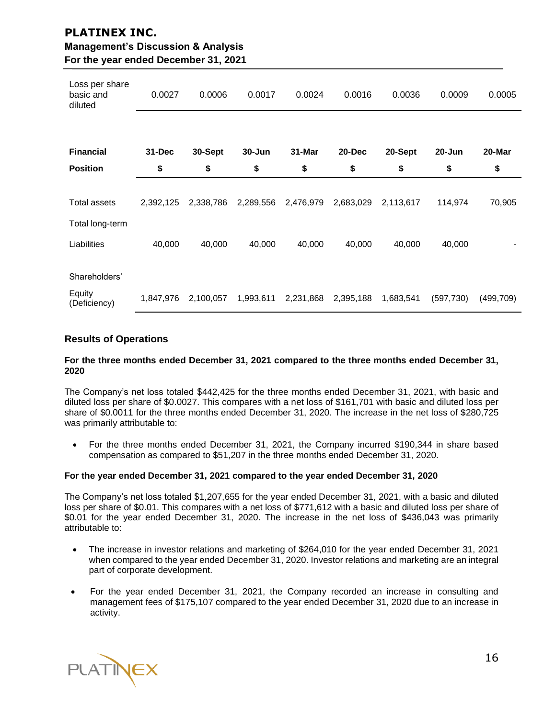| <b>PLATINEX INC.</b>                          |
|-----------------------------------------------|
| <b>Management's Discussion &amp; Analysis</b> |
| For the year ended December 31, 2021          |

| Loss per share<br>basic and<br>diluted | 0.0027    | 0.0006    | 0.0017     | 0.0024    | 0.0016    | 0.0036    | 0.0009    | 0.0005     |
|----------------------------------------|-----------|-----------|------------|-----------|-----------|-----------|-----------|------------|
|                                        |           |           |            |           |           |           |           |            |
| <b>Financial</b>                       | 31-Dec    | 30-Sept   | $30 - Jun$ | 31-Mar    | 20-Dec    | 20-Sept   | 20-Jun    | 20-Mar     |
| <b>Position</b>                        | \$        | \$        | \$         | \$        | \$        | \$        | \$        | \$         |
|                                        |           |           |            |           |           |           |           |            |
| <b>Total assets</b>                    | 2,392,125 | 2,338,786 | 2,289,556  | 2,476,979 | 2,683,029 | 2,113,617 | 114,974   | 70,905     |
| Total long-term                        |           |           |            |           |           |           |           |            |
| Liabilities                            | 40,000    | 40,000    | 40,000     | 40,000    | 40,000    | 40,000    | 40,000    |            |
|                                        |           |           |            |           |           |           |           |            |
| Shareholders'                          |           |           |            |           |           |           |           |            |
| Equity<br>(Deficiency)                 | 1,847,976 | 2,100,057 | 1,993,611  | 2,231,868 | 2,395,188 | 1,683,541 | (597,730) | (499, 709) |

## **Results of Operations**

#### **For the three months ended December 31, 2021 compared to the three months ended December 31, 2020**

The Company's net loss totaled \$442,425 for the three months ended December 31, 2021, with basic and diluted loss per share of \$0.0027. This compares with a net loss of \$161,701 with basic and diluted loss per share of \$0.0011 for the three months ended December 31, 2020. The increase in the net loss of \$280,725 was primarily attributable to:

• For the three months ended December 31, 2021, the Company incurred \$190,344 in share based compensation as compared to \$51,207 in the three months ended December 31, 2020.

### **For the year ended December 31, 2021 compared to the year ended December 31, 2020**

The Company's net loss totaled \$1,207,655 for the year ended December 31, 2021, with a basic and diluted loss per share of \$0.01. This compares with a net loss of \$771,612 with a basic and diluted loss per share of \$0.01 for the year ended December 31, 2020. The increase in the net loss of \$436,043 was primarily attributable to:

- The increase in investor relations and marketing of \$264,010 for the year ended December 31, 2021 when compared to the year ended December 31, 2020. Investor relations and marketing are an integral part of corporate development.
- For the year ended December 31, 2021, the Company recorded an increase in consulting and management fees of \$175,107 compared to the year ended December 31, 2020 due to an increase in activity.

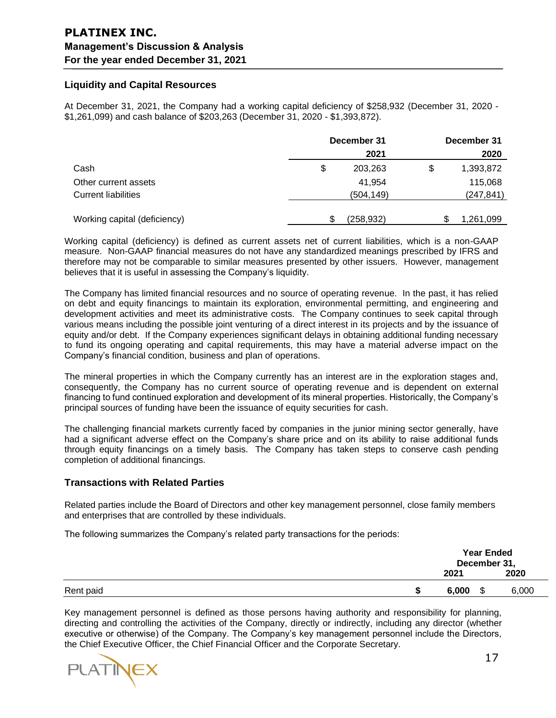## **Liquidity and Capital Resources**

At December 31, 2021, the Company had a working capital deficiency of \$258,932 (December 31, 2020 - \$1,261,099) and cash balance of \$203,263 (December 31, 2020 - \$1,393,872).

|                              | December 31   |    | December 31 |  |
|------------------------------|---------------|----|-------------|--|
|                              | 2021          |    | 2020        |  |
| Cash                         | \$<br>203,263 | \$ | 1,393,872   |  |
| Other current assets         | 41,954        |    | 115,068     |  |
| <b>Current liabilities</b>   | (504,149)     |    | (247,841)   |  |
| Working capital (deficiency) | (258, 932)    |    | 1,261,099   |  |

Working capital (deficiency) is defined as current assets net of current liabilities, which is a non-GAAP measure. Non-GAAP financial measures do not have any standardized meanings prescribed by IFRS and therefore may not be comparable to similar measures presented by other issuers. However, management believes that it is useful in assessing the Company's liquidity.

The Company has limited financial resources and no source of operating revenue. In the past, it has relied on debt and equity financings to maintain its exploration, environmental permitting, and engineering and development activities and meet its administrative costs. The Company continues to seek capital through various means including the possible joint venturing of a direct interest in its projects and by the issuance of equity and/or debt. If the Company experiences significant delays in obtaining additional funding necessary to fund its ongoing operating and capital requirements, this may have a material adverse impact on the Company's financial condition, business and plan of operations.

The mineral properties in which the Company currently has an interest are in the exploration stages and, consequently, the Company has no current source of operating revenue and is dependent on external financing to fund continued exploration and development of its mineral properties. Historically, the Company's principal sources of funding have been the issuance of equity securities for cash.

The challenging financial markets currently faced by companies in the junior mining sector generally, have had a significant adverse effect on the Company's share price and on its ability to raise additional funds through equity financings on a timely basis. The Company has taken steps to conserve cash pending completion of additional financings.

### **Transactions with Related Parties**

Related parties include the Board of Directors and other key management personnel, close family members and enterprises that are controlled by these individuals.

The following summarizes the Company's related party transactions for the periods:

|           | <b>Year Ended</b><br>December 31, |    |       |
|-----------|-----------------------------------|----|-------|
|           | 2021                              |    | 2020  |
| Rent paid | 6,000                             | \$ | 6,000 |

Key management personnel is defined as those persons having authority and responsibility for planning, directing and controlling the activities of the Company, directly or indirectly, including any director (whether executive or otherwise) of the Company. The Company's key management personnel include the Directors, the Chief Executive Officer, the Chief Financial Officer and the Corporate Secretary.

PLATINE)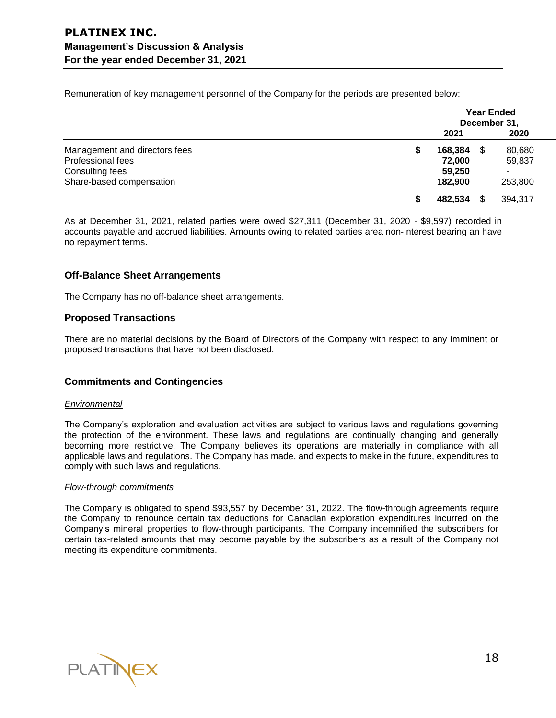Remuneration of key management personnel of the Company for the periods are presented below:

|                               | <b>Year Ended</b><br>December 31, |     |         |  |
|-------------------------------|-----------------------------------|-----|---------|--|
|                               | 2021                              |     | 2020    |  |
| Management and directors fees | \$<br>168,384 \$                  |     | 80,680  |  |
| Professional fees             | 72,000                            |     | 59,837  |  |
| Consulting fees               | 59,250                            |     | ۰       |  |
| Share-based compensation      | 182,900                           |     | 253,800 |  |
|                               | 482,534                           | \$. | 394,317 |  |

As at December 31, 2021, related parties were owed \$27,311 (December 31, 2020 ‑ \$9,597) recorded in accounts payable and accrued liabilities. Amounts owing to related parties area non‑interest bearing an have no repayment terms.

## **Off-Balance Sheet Arrangements**

The Company has no off-balance sheet arrangements.

## **Proposed Transactions**

There are no material decisions by the Board of Directors of the Company with respect to any imminent or proposed transactions that have not been disclosed.

## **Commitments and Contingencies**

### *Environmental*

The Company's exploration and evaluation activities are subject to various laws and regulations governing the protection of the environment. These laws and regulations are continually changing and generally becoming more restrictive. The Company believes its operations are materially in compliance with all applicable laws and regulations. The Company has made, and expects to make in the future, expenditures to comply with such laws and regulations.

### *Flow-through commitments*

The Company is obligated to spend \$93,557 by December 31, 2022. The flow-through agreements require the Company to renounce certain tax deductions for Canadian exploration expenditures incurred on the Company's mineral properties to flow-through participants. The Company indemnified the subscribers for certain tax-related amounts that may become payable by the subscribers as a result of the Company not meeting its expenditure commitments.

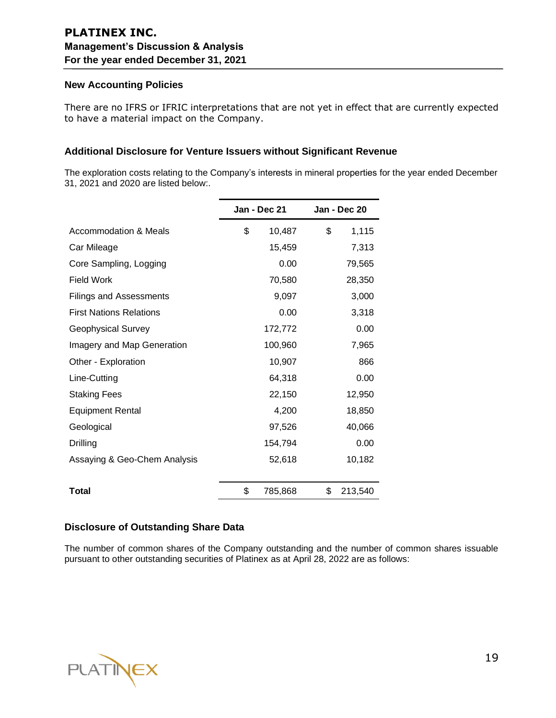## **New Accounting Policies**

There are no IFRS or IFRIC interpretations that are not yet in effect that are currently expected to have a material impact on the Company.

## **Additional Disclosure for Venture Issuers without Significant Revenue**

The exploration costs relating to the Company's interests in mineral properties for the year ended December 31, 2021 and 2020 are listed below:.

|                                | Jan - Dec 21 |         | Jan - Dec 20  |
|--------------------------------|--------------|---------|---------------|
| Accommodation & Meals          | \$           | 10,487  | \$<br>1,115   |
| Car Mileage                    |              | 15,459  | 7,313         |
| Core Sampling, Logging         |              | 0.00    | 79,565        |
| <b>Field Work</b>              |              | 70,580  | 28,350        |
| Filings and Assessments        |              | 9,097   | 3,000         |
| <b>First Nations Relations</b> |              | 0.00    | 3,318         |
| <b>Geophysical Survey</b>      |              | 172,772 | 0.00          |
| Imagery and Map Generation     |              | 100,960 | 7,965         |
| Other - Exploration            |              | 10,907  | 866           |
| Line-Cutting                   |              | 64,318  | 0.00          |
| <b>Staking Fees</b>            |              | 22,150  | 12,950        |
| <b>Equipment Rental</b>        |              | 4,200   | 18,850        |
| Geological                     |              | 97,526  | 40,066        |
| Drilling                       |              | 154,794 | 0.00          |
| Assaying & Geo-Chem Analysis   |              | 52,618  | 10,182        |
| <b>Total</b>                   | \$           | 785,868 | \$<br>213,540 |
|                                |              |         |               |

# **Disclosure of Outstanding Share Data**

The number of common shares of the Company outstanding and the number of common shares issuable pursuant to other outstanding securities of Platinex as at April 28, 2022 are as follows:

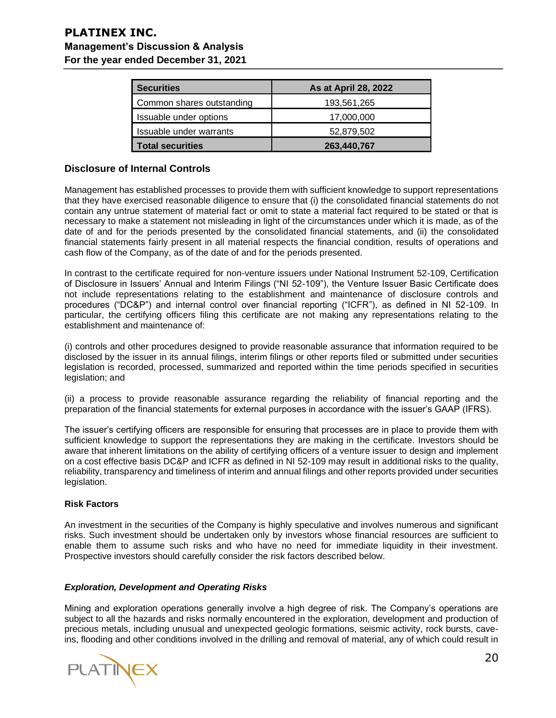| <b>Securities</b>         | As at April 28, 2022 |
|---------------------------|----------------------|
| Common shares outstanding | 193,561,265          |
| Issuable under options    | 17,000,000           |
| Issuable under warrants   | 52,879,502           |
| <b>Total securities</b>   | 263,440,767          |

## **Disclosure of Internal Controls**

Management has established processes to provide them with sufficient knowledge to support representations that they have exercised reasonable diligence to ensure that (i) the consolidated financial statements do not contain any untrue statement of material fact or omit to state a material fact required to be stated or that is necessary to make a statement not misleading in light of the circumstances under which it is made, as of the date of and for the periods presented by the consolidated financial statements, and (ii) the consolidated financial statements fairly present in all material respects the financial condition, results of operations and cash flow of the Company, as of the date of and for the periods presented.

In contrast to the certificate required for non-venture issuers under National Instrument 52-109, Certification of Disclosure in Issuers' Annual and Interim Filings ("NI 52-109"), the Venture Issuer Basic Certificate does not include representations relating to the establishment and maintenance of disclosure controls and procedures ("DC&P") and internal control over financial reporting ("ICFR"), as defined in NI 52-109. In particular, the certifying officers filing this certificate are not making any representations relating to the establishment and maintenance of:

(i) controls and other procedures designed to provide reasonable assurance that information required to be disclosed by the issuer in its annual filings, interim filings or other reports filed or submitted under securities legislation is recorded, processed, summarized and reported within the time periods specified in securities legislation; and

(ii) a process to provide reasonable assurance regarding the reliability of financial reporting and the preparation of the financial statements for external purposes in accordance with the issuer's GAAP (IFRS).

The issuer's certifying officers are responsible for ensuring that processes are in place to provide them with sufficient knowledge to support the representations they are making in the certificate. Investors should be aware that inherent limitations on the ability of certifying officers of a venture issuer to design and implement on a cost effective basis DC&P and ICFR as defined in NI 52-109 may result in additional risks to the quality, reliability, transparency and timeliness of interim and annual filings and other reports provided under securities legislation.

## **Risk Factors**

An investment in the securities of the Company is highly speculative and involves numerous and significant risks. Such investment should be undertaken only by investors whose financial resources are sufficient to enable them to assume such risks and who have no need for immediate liquidity in their investment. Prospective investors should carefully consider the risk factors described below.

### *Exploration, Development and Operating Risks*

Mining and exploration operations generally involve a high degree of risk. The Company's operations are subject to all the hazards and risks normally encountered in the exploration, development and production of precious metals, including unusual and unexpected geologic formations, seismic activity, rock bursts, caveins, flooding and other conditions involved in the drilling and removal of material, any of which could result in

PLATINE>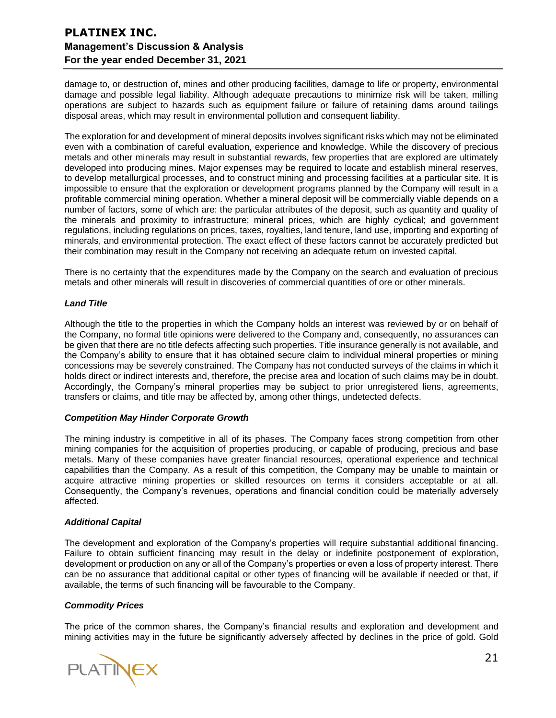damage to, or destruction of, mines and other producing facilities, damage to life or property, environmental damage and possible legal liability. Although adequate precautions to minimize risk will be taken, milling operations are subject to hazards such as equipment failure or failure of retaining dams around tailings disposal areas, which may result in environmental pollution and consequent liability.

The exploration for and development of mineral deposits involves significant risks which may not be eliminated even with a combination of careful evaluation, experience and knowledge. While the discovery of precious metals and other minerals may result in substantial rewards, few properties that are explored are ultimately developed into producing mines. Major expenses may be required to locate and establish mineral reserves, to develop metallurgical processes, and to construct mining and processing facilities at a particular site. It is impossible to ensure that the exploration or development programs planned by the Company will result in a profitable commercial mining operation. Whether a mineral deposit will be commercially viable depends on a number of factors, some of which are: the particular attributes of the deposit, such as quantity and quality of the minerals and proximity to infrastructure; mineral prices, which are highly cyclical; and government regulations, including regulations on prices, taxes, royalties, land tenure, land use, importing and exporting of minerals, and environmental protection. The exact effect of these factors cannot be accurately predicted but their combination may result in the Company not receiving an adequate return on invested capital.

There is no certainty that the expenditures made by the Company on the search and evaluation of precious metals and other minerals will result in discoveries of commercial quantities of ore or other minerals.

### *Land Title*

Although the title to the properties in which the Company holds an interest was reviewed by or on behalf of the Company, no formal title opinions were delivered to the Company and, consequently, no assurances can be given that there are no title defects affecting such properties. Title insurance generally is not available, and the Company's ability to ensure that it has obtained secure claim to individual mineral properties or mining concessions may be severely constrained. The Company has not conducted surveys of the claims in which it holds direct or indirect interests and, therefore, the precise area and location of such claims may be in doubt. Accordingly, the Company's mineral properties may be subject to prior unregistered liens, agreements, transfers or claims, and title may be affected by, among other things, undetected defects.

### *Competition May Hinder Corporate Growth*

The mining industry is competitive in all of its phases. The Company faces strong competition from other mining companies for the acquisition of properties producing, or capable of producing, precious and base metals. Many of these companies have greater financial resources, operational experience and technical capabilities than the Company. As a result of this competition, the Company may be unable to maintain or acquire attractive mining properties or skilled resources on terms it considers acceptable or at all. Consequently, the Company's revenues, operations and financial condition could be materially adversely affected.

## *Additional Capital*

The development and exploration of the Company's properties will require substantial additional financing. Failure to obtain sufficient financing may result in the delay or indefinite postponement of exploration, development or production on any or all of the Company's properties or even a loss of property interest. There can be no assurance that additional capital or other types of financing will be available if needed or that, if available, the terms of such financing will be favourable to the Company.

### *Commodity Prices*

The price of the common shares, the Company's financial results and exploration and development and mining activities may in the future be significantly adversely affected by declines in the price of gold. Gold

**PLATINEX**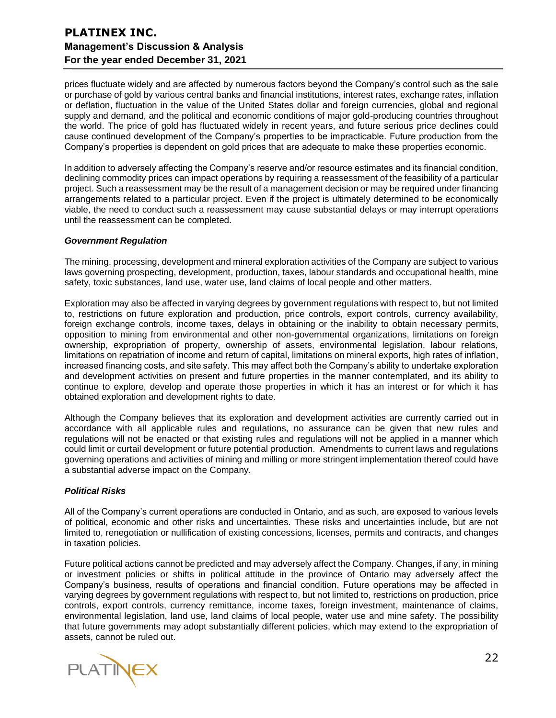prices fluctuate widely and are affected by numerous factors beyond the Company's control such as the sale or purchase of gold by various central banks and financial institutions, interest rates, exchange rates, inflation or deflation, fluctuation in the value of the United States dollar and foreign currencies, global and regional supply and demand, and the political and economic conditions of major gold-producing countries throughout the world. The price of gold has fluctuated widely in recent years, and future serious price declines could cause continued development of the Company's properties to be impracticable. Future production from the Company's properties is dependent on gold prices that are adequate to make these properties economic.

In addition to adversely affecting the Company's reserve and/or resource estimates and its financial condition, declining commodity prices can impact operations by requiring a reassessment of the feasibility of a particular project. Such a reassessment may be the result of a management decision or may be required under financing arrangements related to a particular project. Even if the project is ultimately determined to be economically viable, the need to conduct such a reassessment may cause substantial delays or may interrupt operations until the reassessment can be completed.

#### *Government Regulation*

The mining, processing, development and mineral exploration activities of the Company are subject to various laws governing prospecting, development, production, taxes, labour standards and occupational health, mine safety, toxic substances, land use, water use, land claims of local people and other matters.

Exploration may also be affected in varying degrees by government regulations with respect to, but not limited to, restrictions on future exploration and production, price controls, export controls, currency availability, foreign exchange controls, income taxes, delays in obtaining or the inability to obtain necessary permits, opposition to mining from environmental and other non-governmental organizations, limitations on foreign ownership, expropriation of property, ownership of assets, environmental legislation, labour relations, limitations on repatriation of income and return of capital, limitations on mineral exports, high rates of inflation, increased financing costs, and site safety. This may affect both the Company's ability to undertake exploration and development activities on present and future properties in the manner contemplated, and its ability to continue to explore, develop and operate those properties in which it has an interest or for which it has obtained exploration and development rights to date.

Although the Company believes that its exploration and development activities are currently carried out in accordance with all applicable rules and regulations, no assurance can be given that new rules and regulations will not be enacted or that existing rules and regulations will not be applied in a manner which could limit or curtail development or future potential production. Amendments to current laws and regulations governing operations and activities of mining and milling or more stringent implementation thereof could have a substantial adverse impact on the Company.

### *Political Risks*

All of the Company's current operations are conducted in Ontario, and as such, are exposed to various levels of political, economic and other risks and uncertainties. These risks and uncertainties include, but are not limited to, renegotiation or nullification of existing concessions, licenses, permits and contracts, and changes in taxation policies.

Future political actions cannot be predicted and may adversely affect the Company. Changes, if any, in mining or investment policies or shifts in political attitude in the province of Ontario may adversely affect the Company's business, results of operations and financial condition. Future operations may be affected in varying degrees by government regulations with respect to, but not limited to, restrictions on production, price controls, export controls, currency remittance, income taxes, foreign investment, maintenance of claims, environmental legislation, land use, land claims of local people, water use and mine safety. The possibility that future governments may adopt substantially different policies, which may extend to the expropriation of assets, cannot be ruled out.

**PLATINEX**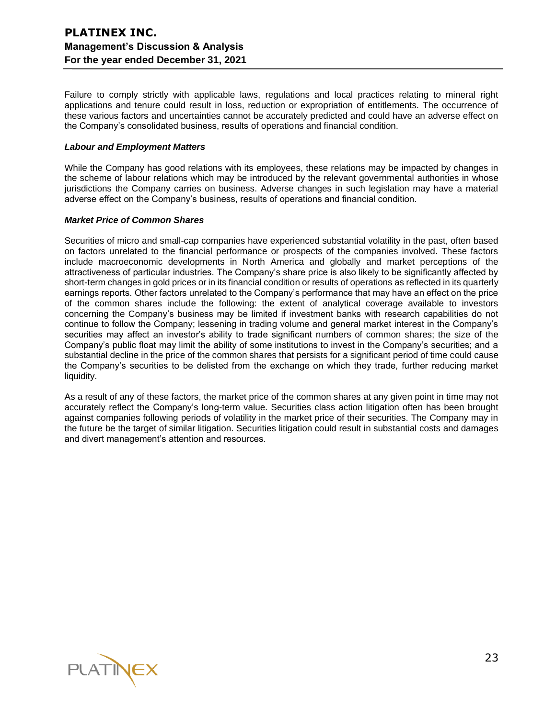Failure to comply strictly with applicable laws, regulations and local practices relating to mineral right applications and tenure could result in loss, reduction or expropriation of entitlements. The occurrence of these various factors and uncertainties cannot be accurately predicted and could have an adverse effect on the Company's consolidated business, results of operations and financial condition.

### *Labour and Employment Matters*

While the Company has good relations with its employees, these relations may be impacted by changes in the scheme of labour relations which may be introduced by the relevant governmental authorities in whose jurisdictions the Company carries on business. Adverse changes in such legislation may have a material adverse effect on the Company's business, results of operations and financial condition.

### *Market Price of Common Shares*

Securities of micro and small-cap companies have experienced substantial volatility in the past, often based on factors unrelated to the financial performance or prospects of the companies involved. These factors include macroeconomic developments in North America and globally and market perceptions of the attractiveness of particular industries. The Company's share price is also likely to be significantly affected by short-term changes in gold prices or in its financial condition or results of operations as reflected in its quarterly earnings reports. Other factors unrelated to the Company's performance that may have an effect on the price of the common shares include the following: the extent of analytical coverage available to investors concerning the Company's business may be limited if investment banks with research capabilities do not continue to follow the Company; lessening in trading volume and general market interest in the Company's securities may affect an investor's ability to trade significant numbers of common shares; the size of the Company's public float may limit the ability of some institutions to invest in the Company's securities; and a substantial decline in the price of the common shares that persists for a significant period of time could cause the Company's securities to be delisted from the exchange on which they trade, further reducing market liquidity.

As a result of any of these factors, the market price of the common shares at any given point in time may not accurately reflect the Company's long-term value. Securities class action litigation often has been brought against companies following periods of volatility in the market price of their securities. The Company may in the future be the target of similar litigation. Securities litigation could result in substantial costs and damages and divert management's attention and resources.

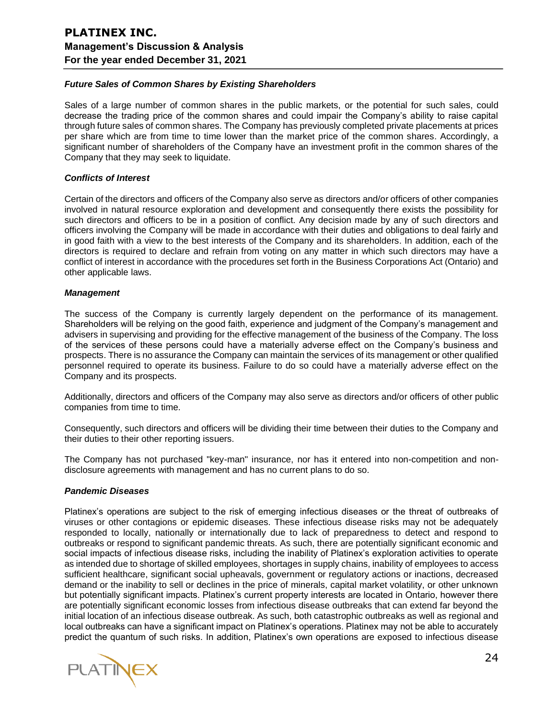### *Future Sales of Common Shares by Existing Shareholders*

Sales of a large number of common shares in the public markets, or the potential for such sales, could decrease the trading price of the common shares and could impair the Company's ability to raise capital through future sales of common shares. The Company has previously completed private placements at prices per share which are from time to time lower than the market price of the common shares. Accordingly, a significant number of shareholders of the Company have an investment profit in the common shares of the Company that they may seek to liquidate.

### *Conflicts of Interest*

Certain of the directors and officers of the Company also serve as directors and/or officers of other companies involved in natural resource exploration and development and consequently there exists the possibility for such directors and officers to be in a position of conflict. Any decision made by any of such directors and officers involving the Company will be made in accordance with their duties and obligations to deal fairly and in good faith with a view to the best interests of the Company and its shareholders. In addition, each of the directors is required to declare and refrain from voting on any matter in which such directors may have a conflict of interest in accordance with the procedures set forth in the Business Corporations Act (Ontario) and other applicable laws.

#### *Management*

The success of the Company is currently largely dependent on the performance of its management. Shareholders will be relying on the good faith, experience and judgment of the Company's management and advisers in supervising and providing for the effective management of the business of the Company. The loss of the services of these persons could have a materially adverse effect on the Company's business and prospects. There is no assurance the Company can maintain the services of its management or other qualified personnel required to operate its business. Failure to do so could have a materially adverse effect on the Company and its prospects.

Additionally, directors and officers of the Company may also serve as directors and/or officers of other public companies from time to time.

Consequently, such directors and officers will be dividing their time between their duties to the Company and their duties to their other reporting issuers.

The Company has not purchased "key-man" insurance, nor has it entered into non-competition and nondisclosure agreements with management and has no current plans to do so.

### *Pandemic Diseases*

Platinex's operations are subject to the risk of emerging infectious diseases or the threat of outbreaks of viruses or other contagions or epidemic diseases. These infectious disease risks may not be adequately responded to locally, nationally or internationally due to lack of preparedness to detect and respond to outbreaks or respond to significant pandemic threats. As such, there are potentially significant economic and social impacts of infectious disease risks, including the inability of Platinex's exploration activities to operate as intended due to shortage of skilled employees, shortages in supply chains, inability of employees to access sufficient healthcare, significant social upheavals, government or regulatory actions or inactions, decreased demand or the inability to sell or declines in the price of minerals, capital market volatility, or other unknown but potentially significant impacts. Platinex's current property interests are located in Ontario, however there are potentially significant economic losses from infectious disease outbreaks that can extend far beyond the initial location of an infectious disease outbreak. As such, both catastrophic outbreaks as well as regional and local outbreaks can have a significant impact on Platinex's operations. Platinex may not be able to accurately predict the quantum of such risks. In addition, Platinex's own operations are exposed to infectious disease

**PLATINEX**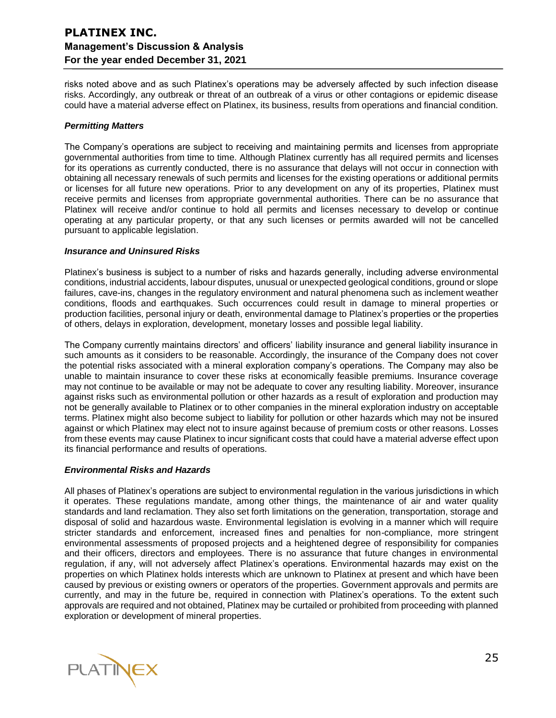risks noted above and as such Platinex's operations may be adversely affected by such infection disease risks. Accordingly, any outbreak or threat of an outbreak of a virus or other contagions or epidemic disease could have a material adverse effect on Platinex, its business, results from operations and financial condition.

### *Permitting Matters*

The Company's operations are subject to receiving and maintaining permits and licenses from appropriate governmental authorities from time to time. Although Platinex currently has all required permits and licenses for its operations as currently conducted, there is no assurance that delays will not occur in connection with obtaining all necessary renewals of such permits and licenses for the existing operations or additional permits or licenses for all future new operations. Prior to any development on any of its properties, Platinex must receive permits and licenses from appropriate governmental authorities. There can be no assurance that Platinex will receive and/or continue to hold all permits and licenses necessary to develop or continue operating at any particular property, or that any such licenses or permits awarded will not be cancelled pursuant to applicable legislation.

### *Insurance and Uninsured Risks*

Platinex's business is subject to a number of risks and hazards generally, including adverse environmental conditions, industrial accidents, labour disputes, unusual or unexpected geological conditions, ground or slope failures, cave-ins, changes in the regulatory environment and natural phenomena such as inclement weather conditions, floods and earthquakes. Such occurrences could result in damage to mineral properties or production facilities, personal injury or death, environmental damage to Platinex's properties or the properties of others, delays in exploration, development, monetary losses and possible legal liability.

The Company currently maintains directors' and officers' liability insurance and general liability insurance in such amounts as it considers to be reasonable. Accordingly, the insurance of the Company does not cover the potential risks associated with a mineral exploration company's operations. The Company may also be unable to maintain insurance to cover these risks at economically feasible premiums. Insurance coverage may not continue to be available or may not be adequate to cover any resulting liability. Moreover, insurance against risks such as environmental pollution or other hazards as a result of exploration and production may not be generally available to Platinex or to other companies in the mineral exploration industry on acceptable terms. Platinex might also become subject to liability for pollution or other hazards which may not be insured against or which Platinex may elect not to insure against because of premium costs or other reasons. Losses from these events may cause Platinex to incur significant costs that could have a material adverse effect upon its financial performance and results of operations.

### *Environmental Risks and Hazards*

All phases of Platinex's operations are subject to environmental regulation in the various jurisdictions in which it operates. These regulations mandate, among other things, the maintenance of air and water quality standards and land reclamation. They also set forth limitations on the generation, transportation, storage and disposal of solid and hazardous waste. Environmental legislation is evolving in a manner which will require stricter standards and enforcement, increased fines and penalties for non-compliance, more stringent environmental assessments of proposed projects and a heightened degree of responsibility for companies and their officers, directors and employees. There is no assurance that future changes in environmental regulation, if any, will not adversely affect Platinex's operations. Environmental hazards may exist on the properties on which Platinex holds interests which are unknown to Platinex at present and which have been caused by previous or existing owners or operators of the properties. Government approvals and permits are currently, and may in the future be, required in connection with Platinex's operations. To the extent such approvals are required and not obtained, Platinex may be curtailed or prohibited from proceeding with planned exploration or development of mineral properties.